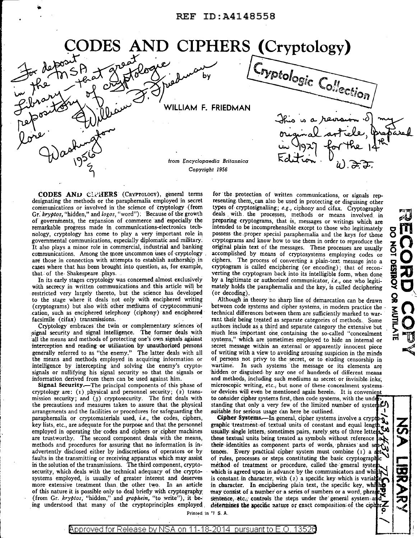# ODES AND CIPHERS (Cryptology)

WILLIAM F. FRIEDMAN

from *I;ncyclopaedia Britannica Copyright 1956* 

**CODES ANU CL. HERS** (CRYPTOLOGY), general terms for the protection of written communications, or signals rep-<br>designating the methods or the paraphernalia employed in secret resenting them, can also be used in protecting communications or involved in the science of cryptology (from types of cryptosignalling; *e.g.*, ciphony and cifax. Cryptography Gr. kryptos. "hidden," and logos, "word"). Because of the growth deals with the processes, me Gr. *kryptos*, "hidden," and *logos*, "word"); Because of the growth of governments, the expansion of commerce and especially the of governments, the expansion of commerce and especially the preparing cryptograms, that is, messages or writings which are remarkable progress made in communications-electronics tech-<br>intended to be incomprehensible excep remarkable progress made in communications-electronics tech-<br>notice intended to be incomprehensible except to those who legitimately<br>notice in the intended to be incomprehensible except to those notices to those nology, cryptology has come to play a very important role in possess the proper special paraphernalia and the keys for those governmental communications, especially diplomatic and military. cryptograms and know how to use governmental communications, especially diplomatic and military; cryptograms and know how to use them in order to reproduce the<br>It also plays a minor role in commercial, industrial and banking original plain text of the me It also plays a minor role in commercial, industrial and banking original plain text of the messages. These processes are usually communications. Among the more uncommon uses of cryptology. accomplished by means of cryptos communications. Among the more uncommon uses of cryptology . accomplished by means of cryptosystems employing codes or are those in connection with attempts to establish authorship in ciphers. The process of converting a p are those in connection with attempts to establish authorship in ciphers. The process of converting a plain-text message into a cases where that has been brought into question, as, for example, cryptogram is called enciphe cases where that has been brought into question, as, for example, cryptogram is called enciphering (or encoding); that of recon-<br>verting the cryptogram back into its intelligible form, when done

restricted very largely thereto, but the science has developed to the stage where it deals not only with enciphered writing to the stage where it deals not only with enciphered writing Although in theory no sharp line of demarcation can be drawn<br>(cryptograms) but also with other mediums of cryptocommuni-between code systems and cipher systems, (cryptograms) but also with other mediums of cryptocommuni-<br>cation, such as enciphered telephony (ciphony) and enciphered technical differences between them are sufficiently marked to warcation, such as enciphered telephony (ciphony) and enciphered technical differences between them are sufficiently marked to war-<br>facsimile (cifax) transmissions. Some rant their being treated as separate categories of meth

Cryptology embraces the twin or complementary sciences of authors include as a third and separate category the extensive but signal security and signal intelligence. The former deals with much less important one containing signal security and signal intelligence. The former deals with much less important one containing the so-called "concealment"<br>all the means and methods of protecting one's own signals against systems," which are sometimes all the means and methods of protecting one's own signals against systems," which are sometimes employed to hide an internal or internal or internal or internal or apparently innocent piece interception and reading or utilization by unauthorized persons secret message within an external or apparently innocent piece<br>generally referred to as "the enemy." The latter deals with all of writing with a view to avoid generally referred to as "the enemy." The latter deals with all of writing with a view to avoiding arousing suspicion in the minds the means and methods employed in acquiring information or of persons not privy to the secr intelligence by intercepting and solving the enemy's crypto- wartime. In such systems the message or its elements are signals or nullifying his signal security so that the signals or hidden or disguised by any one of hundr information derived from them can be used against him. and methods, including such mediums as secret or invisible inks;

cryptology are: (1) physical and personnel security; (2) trans- or devices will even be mentioned again herein. It is convenien<br>mission security; and (3) cryptosecurity. The first deals with to consider cipher systems fir mission security; and (3) cryptosecurity. The first deals with the precautions and measures taken to assure that the physical standing that only a very few of the limited number of system arrangements and the facilities or procedures for safeguarding the suitable for serious usage can arrangements and the facilities or procedures for safeguarding the paraphernalia or cryptomaterials used, *i.e.*, the codes, ciphers, key lists, etc., are adequate for the purpose and that the personnel employed in operating the codes and ciphers or cipher machines usually single letters, sometimes pairs, rarely sets of three letter are trustworthy. The second component deals with the means, these textual units being trea methods and procedures for assuring that no information is in-<br>advertently disclosed either by indiscretions of operators or by tences. Every practical cipher system must combine (1) a s advertently disclosed either by indiscretions of operators or by faults in the transmitting or receiving apparatus which may assist in the solution of the transmissions. The third component, cryptosecurity, which deals with the technical adequacy of the crypto- which is agreed upon in advance by the communicators and which<br>systems employed, is usually of greater interest and deserves is constant in character, with ( systems employed, is usually of greater interest and deserves is constant in character, with (2) a specific key which is variat more extensive treatment than the other two. In an article in character. In enciphering plain of this nature it is possible only to deal briefly with cryptography may consist of a number or a series of numbers or a word, phras. (from Gr. kryptos, "hidden," and graphein, "to write"), it be. sentence, etc., controls

 $\mathbf{L}$ 

resenting them, can also be used in protecting or disguising other that. of the Shakespeare plays.<br>In its early stages cryptology was concerned almost exclusively by a legitimate or authorized communicator, *i.e.*, one who legiti-In its early stages cryptology was concerned almost exclusively by a legitimate or authorized communicator, *i.e.*, one who legiti-<br>with secrecy in written communications and this article will be mately holds the paraphern mately holds the paraphernalia and the key, is called deciphering (or decoding).

Cryptologic Collection

This is a

csimile (cifax) transmissions. . . . . . . . . rant their being treated as separate categories of methods. Some<br>Cryptology embraces the twin or complementary sciences of authors include as a third and separate category the of persons not privy to the secret, or to eluding censorship in hidden or disguised by any one of hundreds of different means Signal Security.—The principal components of this phase of microscopic writing, etc., but none of these concealment systems.<br>
yptology are: (1) physical and personnel security; (2) trans- or devices will even be mentioned

paraphernalia or cryptomaterials used, *i.e.,* the codes, ciphers, **CiPher** Systems.-In general, cipher systems involve a cryp <sup>~</sup>**z**  of rules, processes or steps constituting the basic cryptographic method of treatment or procedure, called the general system which is agreed upon in advance by the communicators and which is variables is constant in char ing understood that many of the cryptoprinciples employed determines the specific nature or exact composition of the cipherZ

لمذيح g

> **ti)**   $\sum_{i=1}^{n}$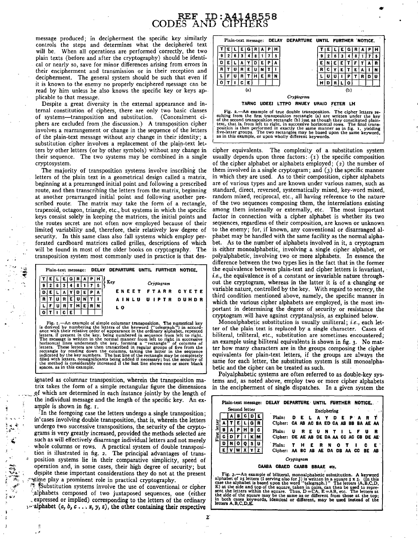### $REF$ , ID: A4148558 CODES AND CIPHERS

message produced; in decipherment the specific key similarly controls the steps and determines what the deciphered text will be. When all operations are performed correctly, the two plain texts (before and after the cryptography) should be identical or nearly so, save for minor differences arising from errors in their encipherment and transmission or in their reception and decipherment. The general system should be such that even if it is known to the enemy no properly enciphered message can be read by him unless he also knows the specific key or keys ap-. plicable to that message.

Despite a great diversity in the external appearance and internal constitution of ciphers, there are only two basic classes of systems-transposition and substitution. (Concealment ciphers are excluded from the discussion.) A transposition cipher involves a rearrangement or change in the sequence of the letters of the plain-text message without any change in their identity; a substitution cipher involves a replacement of the plain-text letters by other letters (or by other symbols) without any.change in their sequence. The two systems may be combined in a single cryptosystem.

The majority of transposition systems involve inscribing the letters of the plain text in a geometrical design called a matrix, beginning at a prearranged initial point and following a prescribed route, and then transcribing the letters from the matrix, beginning at another prearranged initial point and following another prescribed route. The matrix may take the form of a rectangle, trapezoid, octagon, triangle, etc., but systems in which the specific keys consist solely in keeping the matrices, the initial points and the routes secret are not often now employed because of their limited variability and, therefore, their relatively low degree of security. In this same class also fall systems which employ perforated cardboard matrices called grilles, descriptions of which will be found in most of the older books on cryptography. The transposition system most commonly used in practice is that des-

|  |  |  |  | Plain-text message: DELAY DEPARTURE UNTIL FURTHER NOTICE. |
|--|--|--|--|-----------------------------------------------------------|
|  |  |  |  | - Key<br>Cryptogram                                       |
|  |  |  |  | ENEET FTARR CYETE                                         |
|  |  |  |  | AINLU UIPTR DUHDR                                         |
|  |  |  |  | L O                                                       |
|  |  |  |  |                                                           |

 $\sim$ 

Fig. 1.—An example of simple columnar transposition. The numerical key<br>is derived by numbering the letters of the keyword ("telegraph") in accord-<br>ance with their relative order of appearance in the ordinary alphabet, repe The message is written in the normal manner from left to right in successive<br>horizontal lines underneath the key, forming a "rectangle" of columns of<br>letters. These letters are then transcribed in regular groups of five fr rectangle by reading down the columns, taking the latter in the sequence indicated by the key numbers. The last line of the rectangle may be completely filled with letters, nonsignificants being added if necessary; but the

ignated as columnar transposition, wherein the transposition matrix takes the form of a simple rectangular figure the dimensions of which are determined in each instance jointly by the length of the individual message and the length of the specific key. An example is shown in fig. r.

In the foregoing case the letters undergo a single transposition; in cases involving double transposition, that is, wherein the letters undergo two successive transpositions, the security of the cryptograms is very greatly increased, provided the methods selected are such as will effectively disarrange individual letters and not merely whole columns or rows. A practical system of double transposition is illustrated in fig. 2. The principal advantages of trans position systems lie in their comparative simplicity, speed of operation and, in some cases, their high degree of security; but despite these important considerations they do not at the present time play a prominent role in practical cryptography.

<sup>\*</sup> Substitution systems involve the use of conventional or cipher alphabets composed of two juxtaposed sequences, one (either , expressed or implied) corresponding to the letters of the ordinary  $\cdots$  alphabet (a, b,  $c \cdots x$ , y, z), the other containing their respective





cipher equivalents. The complexity of a substitution system usually depends upon three factors:  $(i)$  the specific composition of the cipher alphabet or alphabets employed;  $(z)$  the number of them involved in a single cryptogram; and (3) the specific manner in which they are used. As to their composition, cipher alphabets are of various types and are known under various names, such as standard, direct, reversed, systematically mixed, key-word mixed, random mixed, reciprocal, etc., all having reference to the natureof the two sequences composing them, the interrelations existing among them internally or externally, etc. The most important factor in connection with a cipher alphabet is whether its two sequences, regardless of their composition, are known or unknown to the enemy; for, if known, any conventional or disarranged alphabet may be handled with the same facility as the normal alphabet. As to the number of alphabets involved in it, a cryptogram is either monoalphabetic, involving a single cipher alphabet, or polyalphabetic, involving two or more alphabets. In essence the difference between the two types lies in the fact that in the former the equivalence between plain-text and cipher letters is invariant, *i.e.*, the equivalence is of a constant or invariable nature throughout the cryptogram, whereas in the latter it is of a changing or variable nature, controlled by the key. With regard to secrecy, the third condition mentioned above, namely, the specific manner in which the various cipher alphabets are employed, is the most important in determining the degree of security or resistance the cryptogram will have against cryptanalysis, as explained below.

Monoalphabetic substitution is usually uniliteral; i.e., each letter of the plain text is replaced by a single character. Cases of biliteral, triliteral, etc., substitution are sometimes encountered; an example using biliteral equivalents is shown in fig. 3. No matter how many characters are in the groups composing the cipher equivalents for plain-text letters, if the groups are always the same for each letter, the substitution system is still monoalphabetic and the cipher can be treated as such.

Polyalphabetic systems are often referred to as double-key systems and, as noted above, employ two or more cipher alphabets in the encipherment of single dispatches. In a given system the

|               |            |   |    |   |   | Plain-text message: | DELAY                                                                                                                                                                        | DEPARTURE UNTIL FURTHER |       |             |                         |   |      |   |          |                            | NOTICE.         |                    |
|---------------|------------|---|----|---|---|---------------------|------------------------------------------------------------------------------------------------------------------------------------------------------------------------------|-------------------------|-------|-------------|-------------------------|---|------|---|----------|----------------------------|-----------------|--------------------|
| Second letter |            |   |    |   |   |                     |                                                                                                                                                                              |                         |       | Enciphering |                         |   |      |   |          |                            |                 |                    |
|               |            |   |    |   |   |                     | Plain:                                                                                                                                                                       |                         | E.    |             |                         |   | D    | Е | P        |                            |                 |                    |
| letter        |            |   | Ε. |   | G |                     | Cipher:                                                                                                                                                                      |                         |       |             | CA AB AC BA ED CA AB BB |   |      |   |          |                            | <b>BA AE AA</b> |                    |
|               | 8          | А | Р  | н | 8 | c                   | Plain:                                                                                                                                                                       | U                       | R     | E.          | - U                     | N |      |   |          |                            | u               | R                  |
| First 1       | c          | D |    |   | ĸ | м                   | Cipher:                                                                                                                                                                      |                         |       |             |                         |   |      |   |          | DE AE AB DE DA AA CC AC CB |                 | DE AE <sup>.</sup> |
|               | D          | N | o  | 0 | s | U                   | Plain:                                                                                                                                                                       |                         | н     | Е           | R                       | N | o    |   |          |                            | c               | Е                  |
|               |            |   |    |   |   |                     | Cipher:                                                                                                                                                                      |                         | AA BC | AB.         | AE.                     |   | DA   |   | DB AA CC |                            | BE              | AB                 |
|               | Cryptogram |   |    |   |   |                     |                                                                                                                                                                              |                         |       |             |                         |   |      |   |          |                            |                 |                    |
|               |            |   |    |   |   |                     |                                                                                                                                                                              |                         |       |             |                         |   |      |   |          |                            |                 |                    |
|               |            |   |    |   |   |                     | CAABA CBAED CAABB                                                                                                                                                            |                         |       |             | <b>BBAAE</b>            |   | etc. |   |          |                            |                 |                    |
|               |            |   |    |   |   |                     | Fig. 3.-An example of biliteral, monoalphabetic substitution. A keyword                                                                                                      |                         |       |             |                         |   |      |   |          |                            |                 |                    |
|               |            |   |    |   |   |                     | alphabet of 25 letters (I serving also for J) is written in a square $5 \times 5$ . (In this<br>case the alphabet is based upon the word "telegraph.)" The letters (A,B,C,D, |                         |       |             |                         |   |      |   |          |                            |                 |                    |
|               |            |   |    |   |   |                     | E) at the side and top of the square, taken in pairs, can then be used to repre-                                                                                             |                         |       |             |                         |   |      |   |          |                            |                 |                    |
|               |            |   |    |   |   |                     | sent the letters within the square. Thus, $D = CA$ , $E = AB$ , etc. The letters at                                                                                          |                         |       |             |                         |   |      |   |          |                            |                 |                    |

the side of the square may be the same as or different from those at the top;<br>in both cases keywords, identical or different, may be used instead of the<br>letters A,B,C,D,E.

2: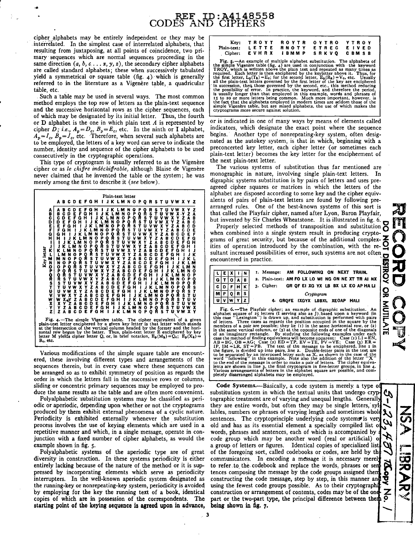cipher alphabets may be entirely independent or they may be interrelated. In the simplest case of interrelated alphabets, that resulting from juxtaposing, at all points of coincidence, two primary sequences which are normal sequences proceeding in the same direction  $(a, b, c, \ldots, x, y, z)$ , the secondary cipher alphabets are called standard alphabets; these when successively tabulated yield a symmetrical or square table (fig.  $4$ ). which is generally referred to in the literature as a Vigenère table, a quadricular table, etc.

. Such a table may be used in several ways. The most common method employs the top row of letters as the plain-text sequence and the successive horizontal rows as the cipher sequences, each of which may be designated by its initial letter. Thus, the fourth or D alphabet is the one in which plain text *A* is represented by cipher *D; i.e.,*  $A_p = D_c$ ,  $B_p = E_c$ , etc. In the ninth or I alphabet,  $A_p = I_c$ ,  $B_p = J_c$ , etc. Therefore, when several such alphabets are to be employed, the letters of a key word can serve to indicate the number, identity and sequence of the cipher alphabets to be used consecutively in the cryptographic operations.

This type of cryptogram is usually referred to as the Vigenère cipher or as *le chiffre indecliiffrable,* although Blaise de Vigenere never claimed that he invented the table or the system; he was merely among the first to describe it *(see* below).



Various modifications of the simple square table are encountered, these involving different types and arrangements of the sequences therein, but in every case where these sequences can be arranged so as to exhibit symmetry of position as regards the order in which the letters fall in the successive rows or columns, sliding or concentric primary sequences may be employed to produce the same results as the table and are often more convenient.

Polyalphabetic substitution systems may be classified as periodic or aperiodic, depending upon whether or not the cryptograms produced by them exhibit external phenomena of a cyclic nature. Periodicity is exhibited externally whenever the substitution process involves the use of keying elements which are used in a repetitive manner and which, in a single message, operate in conjunction with a fixed number of cipher alphabets, as would the example shown in fig. 5.

Polyalphabetic systems of the aperiodic type are of great diversity in construction. In these systems periodicity is either entirely lacking because of the nature of the method or it is suppressed by incorporating elements which serve as periodicity interrupters. In the well-known aperiodic system designated as the running-key or nonrepeating-key system, periodicity is avoided by employing for the key the running text of a book, identical copies of which are in possession of the correspondents. The starting point of the keying sequence is agreed upon in advance,

|  | Key: TROYT ROYTR OYTRO YTROY        |  |
|--|-------------------------------------|--|
|  | Plain-text: LETTE RNOTY ETREC EIVED |  |
|  | Cipher: EVHRX IBMMP SRKVQ CBMSB     |  |

Fig. 5.—An example of multiple alphabet substitution. The alphabets of the simple Vigenère table (fig. 4) are used in conjunction with the keyword TROY, which is written above the plain text and repeated as many times as the first letter,  $L_p(T_k) = E_c$ ; for the second letter,  $E_p(R_k) = V_c$ , etc. Usually<br>all the plain-text letters governed by the first letter of the key are enciphered<br>in auccession, then those governed by the second, etc., this

or is indicated in one of many ways by means of elements called indicators, which designate the exact point where the sequence begins. Another type of nonrepeating-key system, often designated as the autokey system, is that in which, beginning with a preconcerted key letter, each cipher letter (or sometimes each plain-text letter) becomes the key letter for the encipherment of the next plain-text letter.

The various systems of substitution thus far mentioned are monographic in nature, involving single plain-text letters. In digraphic systems substitution is by pairs of letters and uses preagreed cipher squares or matrices in which the letters of the alphabet are disposed according to some key and the cipher equivalents of pairs of plain-text letters are found by following prearranged rules. One of the best-known systems of this sort is that called the Playfair cipher, named after Lyon, Baron Playfair, but invented by Sir Charles Wheatstone. It is illustrated in fig. 6.

Properly selected methods of transposition and substitution  $\delta$ when combined into a single system result in producing cryptograms of great security, but because of the additional complex- $\blacktriangle$ Froperly selected methods of transposition and substitution  $\Omega$ <br>when combined into a single system result in producing crypto-<br>grams of great security, but because of the additional complex-<br>ities of operation introduced sultant increased possibilities of error, such systems are not often encountered in practice.

|      |  |             |  |            |                                    | I. Message: AM FOLLOWING ON NEXT TRAIN.                                                                                                                                               |  |   |   |   |
|------|--|-------------|--|------------|------------------------------------|---------------------------------------------------------------------------------------------------------------------------------------------------------------------------------------|--|---|---|---|
|      |  |             |  |            |                                    |                                                                                                                                                                                       |  |   |   |   |
|      |  |             |  |            |                                    | 2. Plain-text: AM FO LX LO WI NG ON NE XT TR AI NX                                                                                                                                    |  |   | о |   |
|      |  |             |  |            | GR OF EI XG YX LB BX LX EO AP HALI | 3. Cipher:                                                                                                                                                                            |  |   |   | c |
|      |  |             |  | Cryptogram |                                    |                                                                                                                                                                                       |  | R | o | м |
|      |  | <b>HALI</b> |  |            |                                    | 4- GROFE IXGYX LBBXL XEOAP                                                                                                                                                            |  |   |   |   |
| NUMI |  |             |  |            |                                    | Fig. 6.—The Playfair cipher; an example of digraphic substitution. An                                                                                                                 |  |   |   |   |
|      |  |             |  |            |                                    | alphabet square of 25 letters (I serving also as I) based upon a keyword (in                                                                                                          |  |   |   |   |
|      |  |             |  |            |                                    | this case "Lexington") is drawn up, and substitution is performed with pairs                                                                                                          |  |   |   |   |
|      |  |             |  |            |                                    |                                                                                                                                                                                       |  |   |   |   |
|      |  |             |  |            |                                    | of letters. Three cases as regards the position occupied in the square by the                                                                                                         |  |   |   |   |
|      |  |             |  |            |                                    | members of a pair are possible; they lie $(x)$ in the same horizontal row, or $(z)$                                                                                                   |  |   |   |   |
|      |  |             |  |            |                                    | in the same vertical column, or $(3)$ at the opposite ends of one of the diagonals                                                                                                    |  |   |   |   |
| m    |  |             |  |            |                                    | of an imaginary rectangle. By studying the following examples under each                                                                                                              |  |   |   |   |
|      |  |             |  |            |                                    | case the method of finding equivalents will become apparent: Case $(I) L = EN$ ,<br>$AB = BC$ $\Omega = AC$ ; $C_{200}$ $(a)$ $ED = TD$ $EVL = TE$ $DU = VE$ ; $C_{200}$ $(a)$ $ED =$ |  |   |   |   |

AB = BG, OB = AG; Case (2) ED = TP, EV = TE, PV = VE; Case (3) ER = IP, IM = LR, ST = PB. The text of the message to be enciphered, line 1 in the figure, is divided up into pairs, line 2. Double-letter pairs in the text a lents are shown in line 3, the final cryptogram in five-letter groups, in line 4.<br>Various arrangements of letters in the alphabet square are possible, and com-<br>pletely disarranged alphabets may be employed.

Code Systems.—Basically, a code system is merely a type of substitution system in which the textual units that undergo cryp tographic treatment are of varying and unequal lengths. Generali  $\mathbf{1}$ they are entire words, but often they may be single letters,' syl lables, numbers or phrases of varying length and sometimes whole sentences. The cryptoprinciple underlying code systems is ver old and has as its essential element a specially compiled list o words, phrases and sentences, each of which is accompanied by code group which may be another word (real or artificial) o a group of letters or figures. Identical copies of specialized list of the foregoing sort, called codebooks or codes, are held by th communicators. In encoding a message it is necessary mere! to refer to the codebook and replace the words, phrases or sem tences composing the message by the code groups assigned the constructing the code message, step by step, in this manner and using the fewest code groups possible. As to their cryptographi construction or arrangement of contents, codes may be of the on part or the two-part type, the principal difference between them being shown in fig. 7.

<u>ር</u> wur<br>Aurlait  $\Omega$ 0  $\mathbf{v}$ E

スのよ

このマンス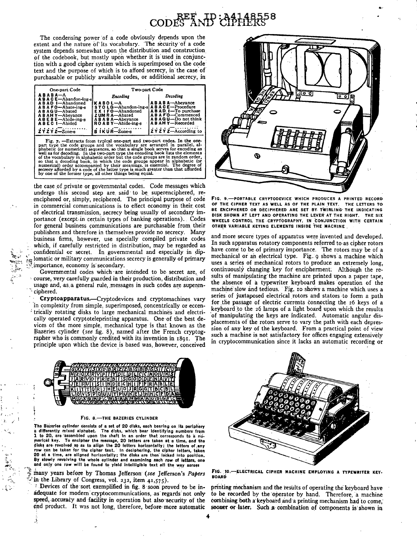## CODES AND : 44148558

The condensing power of a code obviously depends upon the extent and the nature of its vocabulary. The security of a code system depends somewhat upon the distribution and construction, of the codebook, but mostly upon whether it is used in conjunction with a good cipher system which is superimposed on the code text and the purpose of which is to afford secrecy, in the case of purchasable or publicly available codes, or additional secrecy, in

| One-part Code                       | Two-part Code                                        |                        |  |  |  |  |  |  |
|-------------------------------------|------------------------------------------------------|------------------------|--|--|--|--|--|--|
| ABABA-A<br>A B A C E-Abandon-ing-si | Encoding                                             | Decoding               |  |  |  |  |  |  |
| A B A D I-Abandoned                 | KABOL—A                                              | <b>ABABA</b> —Abevance |  |  |  |  |  |  |
| A B A F O-Abate-ing-s               | STOLG-Abandon-ing-s   ABACE-Procedure                |                        |  |  |  |  |  |  |
| A B A G U-Abated                    | $E X$ I $F$ O $-A$ bandoned                          | ABAD I-To purchase     |  |  |  |  |  |  |
| <b>ABAHY</b> -Abeyance              | <b>ZUM RA-Abated</b>                                 | A B A F'O-Commenced    |  |  |  |  |  |  |
| ABEBE-Abide-ing-s                   | A B A B A-Abeyance                                   | A B A G U-Do not think |  |  |  |  |  |  |
| ABEC I-Abided                       | ROABY-Abide-ing-s                                    | A B A H Y--Recorded    |  |  |  |  |  |  |
|                                     | $\overrightarrow{B}$ iku $\overrightarrow{B-Zone-8}$ |                        |  |  |  |  |  |  |
| $2YZYZ-Zone-8$                      |                                                      | $2YZYZ$ -According to  |  |  |  |  |  |  |
|                                     |                                                      |                        |  |  |  |  |  |  |

Fig. 7. -Extracts from typical one-part and two-part codes. In the one-<br>part type the code groups and the vocabulary are arranged in parallel, alphabetic (or numerical) sequences, so that a single book serves for encoding as well as for decoding. In the two-part type the encoding book lists the elements of the vocabulary in alphabetic order but the code groups are in random order, that a decoding book, in which the code groups appear in alphabetic (or numerical) order accompanied by their meanings, is essential. The degre

the case of private or governmental codes. Code messages which undergo this second step are said to be superenciphered, reenciphered or, simply, reciphered. The principal purpose of code in commercial communications is to effect economy in their cost of electrical transmission, secrecy being usually of secondary importance (except in certain types of banking operations). Codes for general business communications are purchasable from their publishers.and therefore in themselves provide no secrecy. Many business firms, however, use specially compiled private codes which, if carefully restricted in distribution, may be regarded as confidential or secret. In governmental and especially in diplomatic or military communications secrecy is generally of primary importance, economy is secondary.

Governmental codes which -are intended to be. secret are, of course, very carefully guarded in their production, distribution and usage and, as a general rule, messages in such codes are superen-· ciphered.

 $\sim$   $\sim$   $\sim$ ~~~:·~ ~)~1·,  $\lambda$ 

 $\ddot{\cdot}$ 

Cryptoapparatus.-Cryptodevices and cryptomachines vary 'in complexity from simple, superimposed, concentrically or eccen- ; trically rotating disks to large mechanical machines and electrically operated cryptoteleprinting apparatus. One· of the best devices of the more simple, mechanical type is that known as the Bazeries cylinder *(see* fig. 8), named after the French cryptographer who is commonly credited with its invention in 1891. The principle upon which the device is based was, however, conceived



~·

FIG. 9.-PORTABLE CRYPTODEVICE WHICH PRODUCES A PRINTED RECORD OF THE CIPHER TEXT AS WELL AS OF THE PLAIN TEXT. THE LETTERS TO BE ENCIPHERED OR DECIPHERED ARE SET BY TWIRLING THE INDICATING DISK SHOWN AT LEFT AND OPERATING THE LEVER AT THE RIGHT. THE SIX WHEELS CONTROL THE CRYPTOGRAPHY, IN CONJUNCTION WITH CERTAIN OTHER VARIABLE KEYING ELEMENTS INSIDE THE MACHINE

and more secure types of apparatus were invented and developed. In such apparatus rotatory components referred to as cipher rotors have come to be of primary importance. The rotors may be of a mechanical or an electrical type. Fig. 9 shows a machine which uses a series of mechanical rotors to produce an extremely long, continuously changing key for encipherment. Although the results of manipulating the machine are printed upon a paper tape, the absence of a typewriter keyboard makes operation of the machine slow and tedious. Fig, 10 shows a machine which uses a series of juxtaposed electrical rotors and stators to form a path for the passage of electric currents connecting the 26 keys of a keyboard to the 26 lamps of a light board upon which the results ·of manipulating the keys are indicated. Automatic angular displacements of the rotors. serve to vary the. path with each depression of any key of the keyboard. From a practical point of view such a machine is not satisfactory for offices engaging extensively in cryptocommunication since it lacks an automatic recording or



#### FIG. 8.-THE BAZERIES CYLINDER

The Bazeries cylinder consists of a set of 20 disks, each bearing on its periphery a differently mixed alphabet. The disks, which bear identifying numbers from<br>1 to 20, are 'assembled upon the shaft in an order that corresponds to a nu-<br>merical key. To encipher the message, 20 letters are taken at a time row can be taken for the cipher text. In deciphering, the cipher letters, taken<br>20 at a time, are aligned horizontally; the disks are then locked into position. By slowly revolving the whole cylinder and examining each row of letters, one and only one row will be found to yield intelligible text all the way across

many years before by Thomas Jefferson (see Jefferson's Papers in the Library of Congress, vol. 232, item  $41,575$ .

1 Devices of the sort exemplified in fig. 8 soon proved to be inadequate for modern cryptocommunications, as regards not only speed, accuracy and facility in operation but also security of the end product. It was not long, therefore, before more automatic



FIG. 10.-ELECTRICAL CIPHER MACHINE EMPLOYING A TYPEWRITER KEY-**BOARD** 

printing mechanism and the results of operating the keyboard have to be recorded by the ·operator by hand. Therefore, a machine combining both a keyboard and a printing mechanism had to come. sooner or later. Such a combination of components is shown in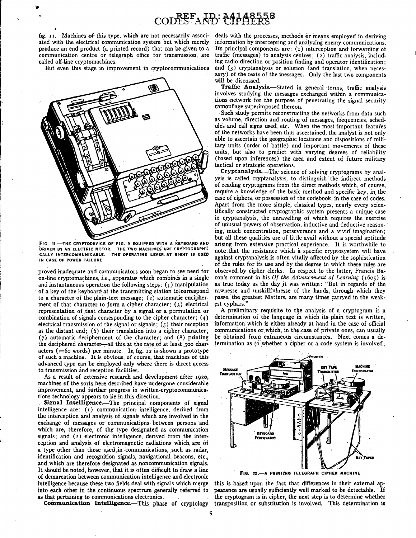fig. 11. Machines of this type, which are not necessarily associated with the electrical communication system but which merely produce an end product (a printed record) that can be given to a communication centre or telegraph office for transmission, are called off-line cryptomachines.

But even this stage in improvement in cryptocommunications



FIG. 11.-THE CRYPTODEVICE OF FIG. 9 EQUIPPED WITH A KEYBOARD AND DRIVEN BY AN ELECTRIC MOTOR. THE TWO MACHINES ARE CRYPTOGRAPHI-<br>CALLY INTERCOMMUNICABLE. THE OPERATING LEVER AT RIGHT IS USED THE OPERATING LEVER AT RIGHT IS USED IN CASE OF POWER FAILURE

. . . . .,

proved inadequate and communicators soon began to see·need for on-line cryptomachines, *i.e.,* apparatus which combines in a single and instantaneous operation the following steps:  $(1)$  manipulation of a key of the keyboard at the transmitting station to correspond to a character of the plain-text message;  $(z)$  automatic encipherment of that character to form a cipher character; (3) electrical representation of that character by a signal or a permutation or combination of signals corresponding to the cipher character; (4) electrical transmission of the signal or signals;  $(5)$  their reception at the distant end;  $(6)$  their translation into a cipher character; ( 7) automatic decipherment of the .character; and (8) printing the deciphered character-all this at the rate of at least 300 characters (=60 words) per minute. In fig.  $12$  is shown a prototype of such a machine. It is obvious, of course, that machines of this advanced type can be employed only where there is direct access to transmission and reception facilities.

As a result of extensive research and development after 1920, machines of the sorts.here described have undergone considerable improvement, and further progress in written-cryptocommunica. tions technology appears to lie in this direction.

Signal Intelligence.-The principal components of signal intelligence are: (1) communication intelligence, derived from the interception and analysis of signals which are involved in the exchange of messages or communications· between persons and which are, therefore, of the type designated as communication signals; and (2) electronic intelligence, derived from the interception and analysis of electromagnetic radiations which are of a type other than those used in communications, such as radar, identification and recognition signals, navigational. beacons, etc., and which are therefore designated as noncommunication signals. It should be noted, however, that it is often difficult to draw a line of demarcation between communication intelligence .and electroni\_c intelligence because these two fields deal with signals which merge into each other in the .continuous spectrum generally referred to as that pertaining to communications electronics.

Communication Intelligence.-This phase of cryptology

deals with the processes; methods or means employed in deriving information by intercepting and analyzing enemy communications. Its principal components are: ( 1) interception and forwarding of traffic (messages) to analysis centres;  $(z)$  traffic analysis, including radio direction or position finding and operator identification; and (3) cryptanalysis or solution (and translation, when necessary) of the texts of the messages. Only the last two components will be discussed.

Traffic Analysis.-Stated in general terms, traffic analysis involves studying the messages exchanged within a communications network for the purpose of penetrating the signal security camouflage superimposed thereon.

Such study permits reconstructing the networks from data such as volume, direction and routing of messages, frequencies, schedules and call signs used, etc. When the most important features of the networks have been thus ascertained, the analyst is not only able to ascertain the geographic locations and dispositions of military units (order of battle) and important movements of these units, but also to predict with varying degrees of reliability (based upon inferences) the area and extent of future military tactical or strategic operations.

Cryptanalysis.-The science of solving cryptograms by analysis is called cryptanalysis, to distinguish the indirect methods of reading cryptograms from the direct methods which, of course, require a knowledge of the basic method and specific key, in the case of ciphers, or possession of the codebook, in the case of codes. Apart from the more simple, classical types, nearly every scientifically constructed cryptographic system presents a unique case in cryptanalysis, the unravelling of which requires the exercise of unusual powers of observation, inductive and deductive reason-· ing, much concentration, perseverance and a vivid' imagination; but all these qualities are of little avail without a special aptitude arising from extensive practical experience. It is worthwhile to note that the resistance which a specific cryptosystem will have against cryptanalysis is often vitally affected by the sophistication of the rules for its use and by the degree to which these rules are observed by cipher clerks. In respect to the latter, Francis Ba-<br>con's comment in his Of the Advancement of Learning  $(1605)$  is as true today as the day it was written: "But in regarde of the rawnesse and unskillfulnesse of the hands, through which they passe, the greatest Matters, are many times carryed in the weakest cyphars."

A preliminary requisite to the analysis of a cryptogram is a determination of the language in which its plain text is written, information which is either already at hand in the case of official communications or which, in the case of private ones, can usually be obtained from extraneous circumstances. Next comes a determination as to whether a cipher or a code system is involved;



FIG. 12.-A PRINTING TELEGRAPH CIPHER MACHINE

this is based upon the fact that differences in their external appearance are usually sufficiently well marked to be detectable. If the cryptogram is in cipher, the next step is to determine whether transposition or substitution is involved. This determination is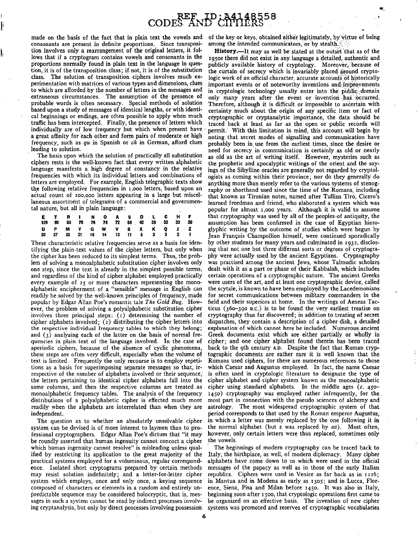consonants are present in definite proportions. Since transposition involves only a rearrangement of the original letters, it foltion involves only a rearrangement of the original letters, it fol-<br>lows that if a cryptogram contains vowels and consonants in the ross there did not exist in any language a detailed, authentic and proportions normally found in plain text in the language in ques- publicly available history of cryptology. Moreover, because of tion, it is of the transposition class; if not, it is of the substitution the curtain of secr tion, it is of the transposition class; if not, it is of the substitution the curtain of secrecy which is invariably placed around crypto-<br>class. The solution of transposition ciphers involves much ex-logic work of an offi class. The solution of transposition ciphers involves much ex- logic work of an official character, accurate accounts of historically<br>perimentation with matrices of various types and dimensions, clues important events or o probable words is often necessary. Special methods of solution Therefore, although it is difficult or impossible to ascertain with based upon a study of messages of identical lengths, or with identi- certainty much about t individually are of low frequency but which when present have permit. With this limitation in mind, this account will begin by<br>a great affinity for each other and form pairs of moderate or high noting that secret modes of a great affinity for each other and form pairs of moderate or high noting- that secret modes of signalling and communication have frequency, such as  $qu$  in Spanish or  $ch$  in German, afford clues probably been in use from frequency, such as *qu* in Spanish or *ch* in German, afford clues probably been in use from the earliest times, since the desire or<br>leading to solution.

 $\cdot$ 

ciphers rests is the well-known fact that every written alphabetic the prophetic and apocalyptic writings of the orient and the say-<br>language manifests a high degree of constancy in the relative ings of the Sibylline oracl language manifests a high degree of constancy in the relative ings of the Sibylline oracles are generally not regarded by cryptol-<br>frequencies with which its individual letters and combinations of ogists as coming within t frequencies with which its individual letters and combinations of ogists as coming within their province; nor do they generally do letters are employed. For example, English telegraphic texts show anything more than merely letters are employed. For example, English telegraphic texts show anything more than merely refer to the various systems of stenog-<br>the following relative frequencies in 1,000 letters, based upon an raphy or shorthand used the following relative frequencies in 1,000 letters, based upon an raphy or shorthand used since the time of the Romans, including actual count of 100,000 letters appearing in a large but miscel-<br>that known as Tironian not actual count of 100,000 letters appearing in a large but miscel- that known as Tironian notes, named after Tullius Tiro, Cicero's

|  |  | E T R I N O A S D L C H F<br>126 90 83 76 76 74 72 58 40 36 33 33 30 |  |  |  |  |
|--|--|----------------------------------------------------------------------|--|--|--|--|
|  |  | UP MY G W V B X K Q J Z<br>30 27 25 21 18 14 13 11 5 3 3 2 1         |  |  |  |  |

tifying the plain-text values of the cipher letters, but only when ing that not one but three different sorts or degrees of cryptogra-<br>the cipher has been reduced to its simplest terms. Thus, the prob- phy were actually us the cipher has been reduced to its simplest terms. Thus, the prob-<br>lem of solving a monoalphabetic substitution cipher involves only lem of solving a monoalphabetic substitution cipher involves only was practised among the ancient Jews, whose Talmudic scholars<br>one step, since the text is already in the simplest possible terms, dealt with it as a part or and regardless of the kind of cipher alphabet employed practically certain operations of a cryptographic nature. The ancient Greeks every example of 25 or more characters representing the mono- were users of the art, and at least one cryptographic device, called alphabetic encipherment. of a "sensible" message in English can the scytale, is known to have been employed.by the Lacedemonians readily be solved by the well-known principles of frequency, made for secret communications between military commanders in the popular by Edgar Allan Poe's romantic tale *The Gold Bug*, How- field and their superiors at h popular by Edgar Allan Poe's romantic tale *The Gold Bug.* How- field and their superiors at home. In the writings of Aeneas Tacever, the problem of solving a polyalphabetic substitution cipher ticus ( $360-390$  B.C.) is to be found the very earliest treatise on involves three principal steps: ( $\tau$ ) determining the number of cryptography thus far involves three principal steps: ( 1) determining the number of cryptography thus far discovered; in addition to treating of secret cipher alphabets involved;  $(2)$  distributing the cipher letters into the respective individual frequency tables to which they belong; and  $(3)$  analyzing each of the latter on the basis of normal frequencies in plain text of the language involved. In the case of aperiodic ciphers, because of the absence of cyclic phenomena, back to the 9th century A.D. Despite the fact that Roman cryp-<br>these steps are often very difficult, especially when the volume of tographic documents are rath these steps are often very difficult, especially when the volume of text is limited. Frequently the only recourse is to employ repetitions as a basis for superimposing separate messages so that, irrespective of the number of alphabets involved or their sequence; is often used in cryptologic literature to designate the type of the letters pertaining to identical cipher alphabets fall into the cipher alphabet and .cipher system known as the monoalphabetic same columns, and then the respective columns are treated as cipher using standard alphabets. In the middle ages  $(c. 450 - 1)$  monoalphabetic frequency tables. The analysis of the frequency  $1450$  cryptography was employed monoalphabetic frequency tables. The analysis of the frequency  $1450$  cryptography was employed rather infrequently, for the distributions of a polyalphabetic cipher is effected much more most part in connection with the readily when the alphabets are interrelated than when they are astrology. The most widespread cryptographic system of that

system can be devised is of more interest to laymen than to pro- the normal alphabet (but *z* was replaced by *aa*). Most often, fessional cryptographers. Edgar Allan Poe's dictum that "it may however, only certain letters fessional cryptographers. Edgar Allan Poe's dictum that "it may however, on<br>he roundly asserted that human ingenuity cannot concoct a cipher the vowels. be roundly asserted that human ingenuity cannot concoct a cipher which human ingenuity cannot resolve" is misleading unless qual- The beginnings of modem cryptography can be traced back to ified by restricting its application to the great majority of the Italy, the birthplace, as well, of modem diplomacy. Many cipher practical systems employed for a voluminous, regular correspond- alphabets have come down to us which were used in the official ence. Isolated short cryptograms prepared by certain methods messages of the papacy as well as in those of the early Italian may resist solution indefinitely; and a letter-for-letter cipher republics. Ciphers were used in Venice as far back as in 1226;<br>system which employs, once and only once, a keying sequence in Mantua and in Modena as early a system which employs, once and only once, a keying sequence composed of characters or elements in a random and entirely un- ence, Siena, Pisa and Milan before 1450. It was also in Italy, predictable sequence may be considered holocryptic, that is, mes- beginning soon after 1500, th predictable sequence may be considered holocryptic, that is, mes- beginning soon after 1500, that cryptologic operations first came to<br>sages in such a system cannot be read by indirect processes involv- be organized on an ing cryptanalysis, but only by direct processes involving possession systems was promoted and reserves of cryptographic vocabularies

made on the basis of the fact that in plain text the vowels and of the key or keys, obtained either legitimately, by virtue of being consonants are present in definite proportions. Since transposi- among the intended commu

 $\bullet$  .

lows that if a cryptogram contains vowels and consonants in the 1950s there did not exist in any language a detailed, authentic and proportions normally found in plain text in the language in ques-<br>publicly available histo perimentation with matrices of various types and dimensions, clues important events or of noteworthy inventions and improvements<br>to which are afforded by the number of letters in the messages and in cryptologic technology to which are afforded by the number of letters in the messages and in cryptologic technology usually enter into the public domain extraneous circumstances. The assumption of the presence of only many vears after the event extraneous circumstances. The assumption of the presence of only many years after the event or invention has occurred.<br>
probable words is often necessary. Special methods of solution Therefore, although it is difficult or based upon a study of messages of identical lengths, or with identi- certainty much about the origin of any specific item or fact of cal beginnings or endings, are often possible to apply when much cryptographic or cryptanalytic importance, the data should be traffic has been intercepted. Finally, the presence of letters which traced back at least as fa traffic has been intercepted. Finally, the presence of letters which traced back at least as far as the open or public records will<br>individually are of low frequency but which when present have permit. With this limitation leading to solution.<br>The basis upon which the solution of practically all substitution as old as the art of writing itself. However, mysteries such as<br>ciphers rests is the well-known fact that every written alphabetic the laneous assortment of telegrams of a commercial and govemmen- learned freedman and friend, who elaborated a system which was popular for almost 1,000 years. Although it is valid to assume that cryptography was used by all of the peoples of antiquity, the assumption has been confirmed in the case of Egyptian hieroglyphic writing by the outcome of studies which were begun by Jean François Champollion himself, were continued sporadically These characteristic relative frequencies serve as a basis for iden- by other students for many years and culminated in 1932, disclosdealt with it as a part or phase of their Kabbalah, which includes explanation of which cannot here be included. Numerous ancient Greek documents exist which are either partially or wholly in cipher; and one cipher alphabet found therein has been traced back to the 9th century A.D. Despite the fact that Roman cryp-Romans used ciphers, for there are numerous references to those which Caesar and Augustus employed. In fact, the name Caesar most part in connection with the pseudo sciences of alchemy and independent.<br>The question as to whether an absolutely unsolvable cipher in which a letter was merely replaced by the one following it in The question as to whether an absolutely unsolvable cipher in which a letter was merely replaced by the one following it in<br>stem can be devised is of more interest to laymen than to pro- the normal alphabet (but z was rep

be organized on an effective basis. The invention of new cipher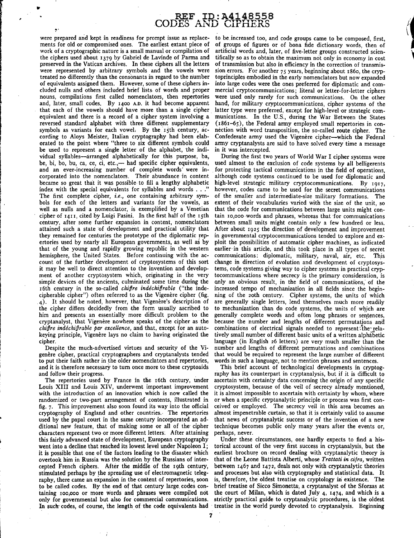# REF ID:A4148558<br>ES AND CIPHERS

were prepared and kept in readiness for prompt issue as replace- to be increased too, and code groups came to be composed, first, ments for old or compromised ones. The earliest extant piece of of groups of figures or of b ments for old or compromised ones. The earliest extant piece of of groups of figures or of bona fide dictionary words, then of work of a cryptographic nature is a small manual or compilation of artificial words and, later, work of a cryptographic nature is a small manual or compilation of artificial words and, later, of five-letter groups constructed scien-<br>the ciphers used about 1379 by Gabriel de Lavinde of Parma and tifically so as to obt preserved in the Vatican archives. In these ciphers all the letters were represented by arbitrary symbols and the vowels were were represented by arbitrary symbols and the vowels were sion errors. For another  $75$  years, beginning about 1860, the cryp-<br>treated no differently than the consonants in regard to the number toprinciples embodied in th treated no differently than the consonants in regard to the number toprinciples embodied in the early nomenclators but now expanded<br>of equivalents assigned them. However, some of these ciphers in- into large codes were the of equivalents assigned them. However, some of these ciphers in- into large codes were the ones preferred for diplomatic and comcluded nulls and others included brief lists of words and proper mercial cryptocommunications; literal or letter-for-letter ciphers nouns, compilations first called nomenclators, then repertories were used only rarely for nouns, compilations first called nomenclators, then repertories were used only rarely for such communications. On the other and, later, small codes. By 1400 A.D. it had become apparent hand, for military cryptocommunicatio and, later, small codes. By 1400 A.D. it had become apparent hand, for military cryptocommunications, cipher systems of the that each of the vowels should have more than a single cipher latter type were preferred, except f that each of the vowels should have more than a single cipher latter type were preferred, except for high-level or strategic com-<br>equivalent and there is a record of a cipher system involving a munications. In the U.S., du equivalent and there is a record of a cipher system involving a munications. In the U.S., during the War Between the States<br>reversed standard alphabet with three different supplementary (1861–65), the Federal army employed reversed standard alphabet with three different supplementary (1861–65), the Federal army employed small repertories in con-<br>symbols as variants for each vowel. By the 15th century, ac- nection with word transposition, the symbols as variants for each vowel. By the 15th century, ac- nection with word transposition, the so-called route cipher. The cording to Aloys Meister, Italian cryptography had been elab- Confederate army used the Vigenère cording to Aloys Meister, Italian cryptography had been elab- Confederate army used the Vigenère cipher—which the Federal orated to the point where "three to six different symbols could army cryptanalysts are said to have be used to represent a single letter of the alphabet, the individual syllables—arranged alphabetically for this purpose, ba, be, bi, bo, bu, ca, ce, ci, etc.,— had specific cipher equivalents, used almost to the exclusion of code systems by all belligerents and an ever-increasing number of complete words were in- for protecting tactical communic and an ever-increasing number of complete words were in- for protecting tactical communications in the field of operations, corporated into the nomenclators. Their abundance in content although code systems continued to be corporated into the nomenclators. Their abundance in content although code systems continued to be used for diplomatic and<br>became so great that it was possible to fill a lengthy alphabetic high-level strategic military cry became so great that it was possible to fill a lengthy alphabetic high-level strategic military cryptocommunications. By 1917, index with the special equivalents for syllables and words . . ." however, codes came to be use index with the special equivalents for syllables and words ..." however, codes came to be used for the secret communications<br>The first complete cipher, *i.e.*, one containing arbitrary sym- of the smaller and intermediate-The first complete cipher, *i.e.*, one containing arbitrary sym- of the smaller and intermediate-size military formations. The bols for each of the letters and variants for the vowels, as extent of their vocabularies varie bols for each of the letters and variants for the vowels, as extent of their vocabularies varied with the size of the unit, so well as nulls and a nomenclator, is exemplified by a Venetian that the code for communications well as nulls and a nomenclator, is exemplified by a Venetian that the code for communications between large units might con-<br>cipher of 1411, cited by Luigi Pasini. In the first half of the 15th tain 10,000 words and phras cipher of 1411, cited by Luigi Pasini. In the first half of the 15th tain 10,000 words and phrases, whereas that for communications century, after some further expansion in content, nomenclators between small units might c century, after some further expansion in content, nomenclators between small units might contain only a few hundred or less.<br>attained such a state of development and practical utility that After about 1925 the direction of attained such a state of development and practical utility that After about 1925 the direction of development and improvement<br>they remained for centuries the prototype of the diplomatic rep- in governmental cryptocommunica they remained for centuries the prototype of the diplomatic rep- in governmental cryptocommunications tended to explore and ex-<br>ertories used by nearly all European governments, as well as by ploit the possibilities of aut ertories used by nearly all European governments, as well as by ploit the possibilities of automatic cipher machines, as indicated that of the young and rapidly growing republic in the western earlier in this article, and that of the young and rapidly growing republic in the western earlier in this article, and this took place in all types of secret<br>hemisphere, the United States. Before continuing with the ac- communications: diplomatic, mi hemisphere, the United States. Before continuing with the ac- communications: diplomatic, military, naval, air, etc. This count of the further development of cryptosystems of this sort change in direction of evolution and it may be well to direct attention to the invention and develop- tems, code systems giving way to cipher systems in practical cryp-<br>ment of another cryptosystem which, originating in the very tocommunications where secrecy ment of another cryptosystem which, originating in the very tocommunications where secrecy is the primary consideration, is simple devices of the ancients, culminated some time during the only an obvious result, in the fie I6th century in the so-called *chiffre indéchiffrable* ("the inde- increased tempo of mechanization in all fields since the begin-<br>cipherable cipher") often referred to as the Vigenère cipher (fig. ning of the zoth century 4). It should be noted, however, that Vigenere's description of are generally single letters, lend themselves much more readily the cipher differs decidedly from the form usually ascribed to to mechanization than do code s the cipher differs decidedly from the form usually ascribed to him and presents an essentially more difficult problem to the him and presents an essentially more difficult problem to the generally complete words and often long phrases or sentences, cryptanalyst, that Vigenère nowhere speaks of the cipher as the because the number and lengths of cryptanalyst, that Vigenere nowhere speaks of the cipher as the because the number and lengths of different permutations and chiffre indechifrable par excellence, and that, except for an auto- combinations of electrical si *chiffre indéchiffrable par excellence*, and that, except for an auto- combinations of electrical signals needed to represent<sup>†</sup>the-rela-<br>keying principle, Vigenère lays no claim to having originated the tively small numbe

|<br>|<br>| r.

•

I

l ' ! f  $\mathbb{F}$ 

I

 $\mathbf{I}$ 

I I !

genère cipher, practical cryptographers and cryptanalysts tended to put their faith rather in the older nomenclators and repertories, words in such a language, not to mention phrases and sentences.

Louis XIII and Louis XIV, underwent important improvement cryptosystem, because of the veil of secrecy already mentioned, with the introduction of an innovation which is now called the it is almost impossible to ascertain with certainty by whom, where randomized or two-part arrangement of contents, illustrated in or when a specific cryptanalytic principle or process was first con-<br>fig. 7. This improvement also soon found its way into the official ceived or employed. The fig. 7. This improvement also soon found its way into the official ceived or employed. The secrecy veil in this area becomes an eryptography of England and other countries. The repertories almost impenetrable curtain, so t used by the papal court in the same century incorporated an ad- that news of cryptanalytic success or of the invention of a new ditional new feature, that of making some or all of the cipher technique becomes public only many years after the events or, characters represent two or more different letters. After attaining perhaps, never. characters represent two or more different letters. After attaining perhaps, never.<br>this fairly advanced state of development, European cryptography Under these circumstances, one hardly expects to find a histhis fairly advanced state of development, European cryptography went into a decline that reached its lowest level under Napoleon I; torical account of the very first success in cryptanalysis, but the<br>it is possible that one of the factors leading to the disaster which earliest brochure it is possible that one of the factors leading to the disaster which earliest brochure on record dealing with cryptanalytic theory is<br>overtook him in Russia was the solution by the Russians of inter- that of the Leone Batt cepted French ciphers. After the middle of the 19th century, between 1467 and 1472, deals not only with cryptanalytic theories<br>stimulated perhaps by the spreading use of electromagnetic teleg- and processes but also with c stimulated perhaps by the spreading use of electromagnetic teleg-<br>raphy, there came an expansion in the content of repertories, soon to be called codes. By the end of that century large codes con- brief treatise of Sicco Simonetta., a cryptanalyst of the Sforzas at taining roo,ooo or more words and phrases were compiled not the court of Milan, which is dated July 4, 1474, and which is a only for governmental but also for commercial communications. strictly practical guide to cryptanalytic procedures, is the oldest In such codes, of course, the length of the code equivalents had treatise in the world purely devoted to cryptanalysis. Beginning

tifically so as to obtain the maximum not only in economy in cost of transmission but also in efficiency in the correction of transmisarmy cryptanalysts are said to have solved every time a message in it was intercepted.

During the first two years of World War I cipher systems were change in direction of evolution and development of cryptosysonly an obvious result, in the field of communications, of the ning of the 20th century. Cipher systems, the units of which keying principle, Vigenère lays no claim to having originated the tively small number of different basic units of a written alphabetic<br>cipher. language (in English 26 letters) are very much smaller than the language (in English 26 letters) are very much smaller than the Despite the much-advertised virtues and security of the Vi- number and lengths of different permutations and combinations<br>mère cipher, practical cryptographers and cryptanalysts tended that would be required to represent t

and it is therefore necessary to turn once more to these cryptoaids This brief account of technological developments in cryptog-<br>raphy has its counterpart in cryptanalysis, but if it is difficult to and follow their progress.<br>The repertories used by France in the 16th century, under ascertain with certainty data concerning the origin of any specific ascertain with certainty data concerning the origin of any specific almost impenetrable curtain, so that it is certainly valid to assume

> that of the Leone Battista Alberti, whose *Trattati in cifra*, written is, therefore, the oldest treatise on cryptology in existence. The